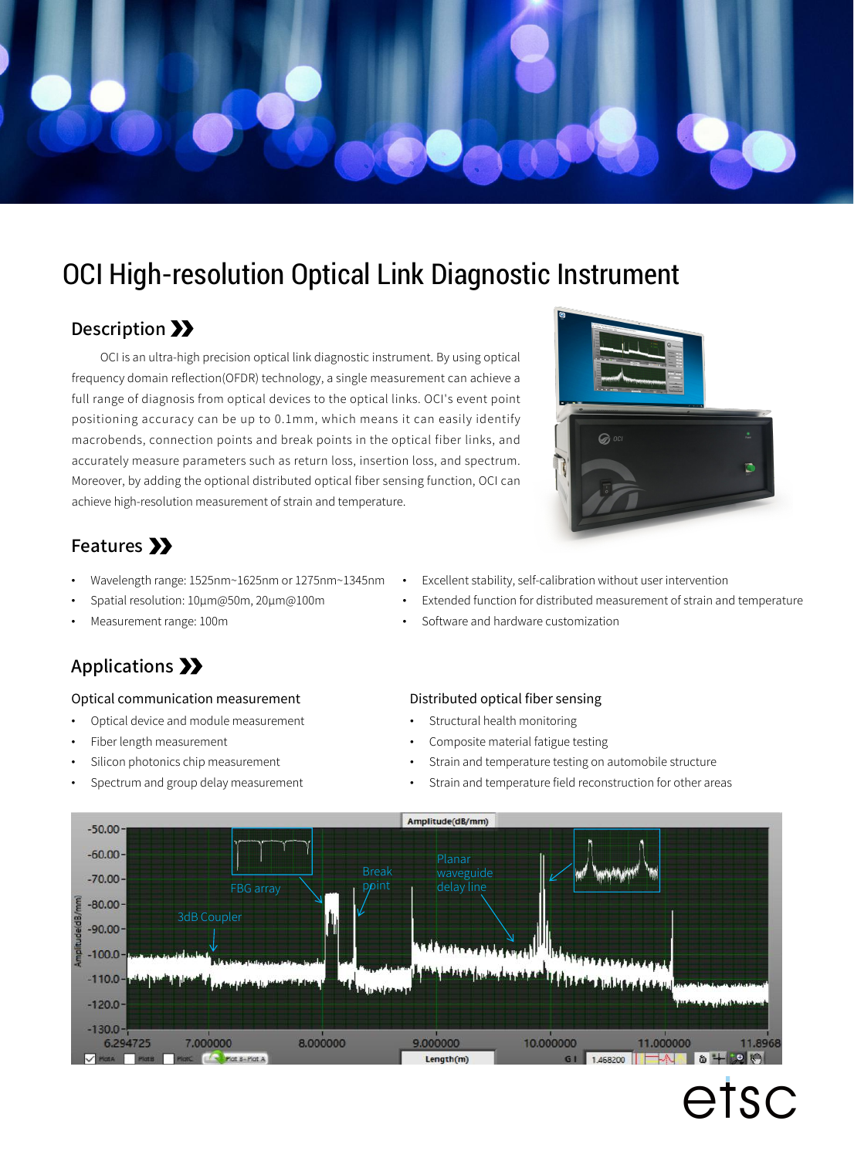

## OCI High-resolution Optical Link Diagnostic Instrument

### Description >>

OCI is an ultra-high precision optical link diagnostic instrument. By using optical frequency domain reflection(OFDR) technology, a single measurement can achieve a full range of diagnosis from optical devices to the optical links. OCI's event point positioning accuracy can be up to 0.1mm, which means it can easily identify macrobends, connection points and break points in the optical fiber links, and accurately measure parameters such as return loss, insertion loss, and spectrum. Moreover, by adding the optional distributed optical fiber sensing function, OCI can achieve high-resolution measurement of strain and temperature.



## Features >>

- Wavelength range: 1525nm~1625nm or 1275nm~1345nm
- Spatial resolution: 10μm@50m, 20μm@100m
- Measurement range: 100m

## Applications >>

#### Optical communication measurement

- Optical device and module measurement
- Fiber length measurement
- Silicon photonics chip measurement
- Spectrum and group delay measurement
- Excellent stability, self-calibration without user intervention
- Extended function for distributed measurement of strain and temperature
- Software and hardware customization

#### Distributed optical fiber sensing

- Structural health monitoring
- Composite material fatigue testing
- Strain and temperature testing on automobile structure
- Strain and temperature field reconstruction for other areas



# etsc